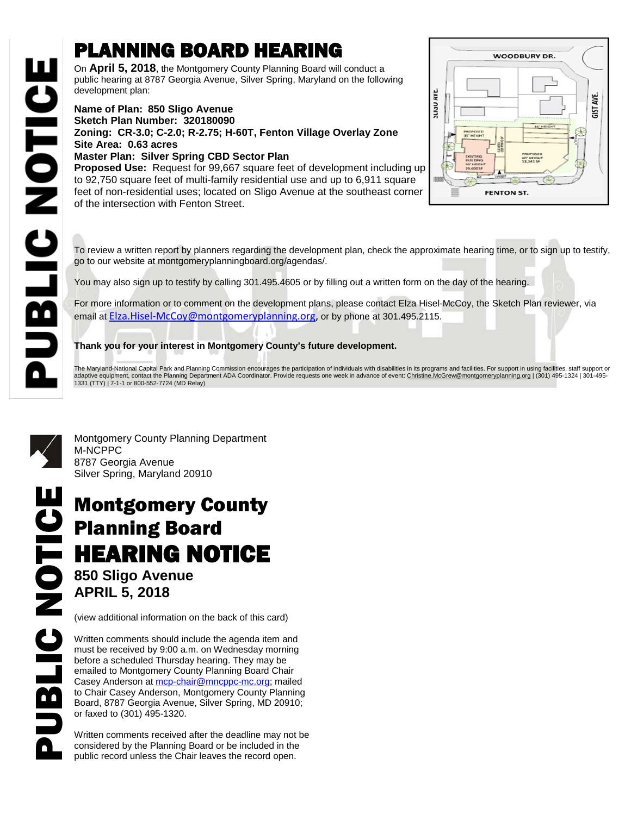## PLANNING BOARD HEARING

On **April 5, 2018**, the Montgomery County Planning Board will conduct a public hearing at 8787 Georgia Avenue, Silver Spring, Maryland on the following development plan:

## **Name of Plan: 850 Sligo Avenue Sketch Plan Number: 320180090 Zoning: CR-3.0; C-2.0; R-2.75; H-60T, Fenton Village Overlay Zone Site Area: 0.63 acres Master Plan: Silver Spring CBD Sector Plan**

**Proposed Use:** Request for 99,667 square feet of development including up to 92,750 square feet of multi-family residential use and up to 6,911 square feet of non-residential uses; located on Sligo Avenue at the southeast corner of the intersection with Fenton Street.



To review a written report by planners regarding the development plan, check the approximate hearing time, or to sign up to testify, go to our website at montgomeryplanningboard.org/agendas/.

You may also sign up to testify by calling 301.495.4605 or by filling out a written form on the day of the hearing.

For more information or to comment on the development plans, please contact Elza Hisel-McCoy, the Sketch Plan reviewer, via email at [Elza.Hisel-McCoy@montgomeryplanning.org,](mailto:Elza.Hisel-McCoy@montgomeryplanning.org) or by phone at 301.495.2115.

## **Thank you for your interest in Montgomery County's future development.**

The Maryland-National Capital Park and Planning Commission encourages the participation of individuals with disabilities in its programs and facilities. For support in using facilities, staff support or adaptive equipment, contact the Planning Department ADA Coordinator. Provide requests one week in advance of event: <u>Christine.McGrew@montgomeryplanning.org</u> | (301) 495-1324 | 301-495-<br>1331 (TTY) | 7-1-1 or 800-552-7724 (



**UBLIC NOTICE** 

Montgomery County Planning Department M-NCPPC 8787 Georgia Avenue Silver Spring, Maryland 20910

## Montgomery County Planning Board HEARING NOTICE **850 Sligo Avenue APRIL 5, 2018 Montgomery County<br>
Planning Board<br>
HEARING NOTICE<br>
850 Sligo Avenue<br>
APRIL 5, 2018<br>
(view additional information on the back of this card)<br>
Written comments should include the agenda item and<br>
must be received by 9:00 a.m**

(view additional information on the back of this card)

Written comments should include the agenda item and must be received by 9:00 a.m. on Wednesday morning before a scheduled Thursday hearing. They may be emailed to Montgomery County Planning Board Chair Casey Anderson at [mcp-chair@mncppc-mc.org;](mailto:mcp-chair@mncppc-mc.org) mailed to Chair Casey Anderson, Montgomery County Planning Board, 8787 Georgia Avenue, Silver Spring, MD 20910; or faxed to (301) 495-1320.

Written comments received after the deadline may not be considered by the Planning Board or be included in the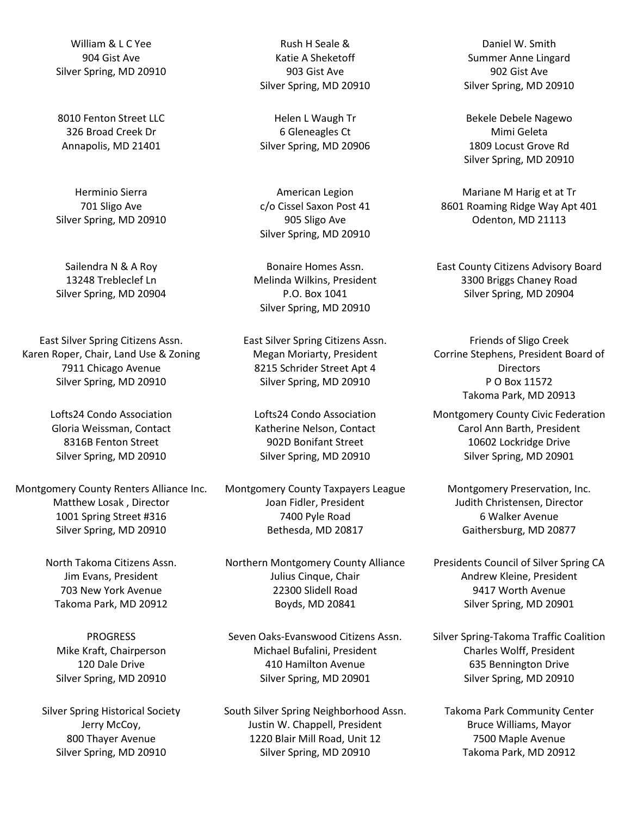William & L C Yee 904 Gist Ave Silver Spring, MD 20910

8010 Fenton Street LLC 326 Broad Creek Dr Annapolis, MD 21401

Herminio Sierra 701 Sligo Ave Silver Spring, MD 20910

Sailendra N & A Roy 13248 Trebleclef Ln Silver Spring, MD 20904

East Silver Spring Citizens Assn. Karen Roper, Chair, Land Use & Zoning 7911 Chicago Avenue Silver Spring, MD 20910

> Lofts24 Condo Association Gloria Weissman, Contact 8316B Fenton Street Silver Spring, MD 20910

Montgomery County Renters Alliance Inc. Matthew Losak , Director 1001 Spring Street #316 Silver Spring, MD 20910

> North Takoma Citizens Assn. Jim Evans, President 703 New York Avenue Takoma Park, MD 20912

**PROGRESS** Mike Kraft, Chairperson 120 Dale Drive Silver Spring, MD 20910

Silver Spring Historical Society Jerry McCoy, 800 Thayer Avenue Silver Spring, MD 20910

Rush H Seale & Katie A Sheketoff 903 Gist Ave Silver Spring, MD 20910

Helen L Waugh Tr 6 Gleneagles Ct Silver Spring, MD 20906

American Legion c/o Cissel Saxon Post 41 905 Sligo Ave Silver Spring, MD 20910

Bonaire Homes Assn. Melinda Wilkins, President P.O. Box 1041 Silver Spring, MD 20910

East Silver Spring Citizens Assn. Megan Moriarty, President 8215 Schrider Street Apt 4 Silver Spring, MD 20910

Lofts24 Condo Association Katherine Nelson, Contact 902D Bonifant Street Silver Spring, MD 20910

Montgomery County Taxpayers League Joan Fidler, President 7400 Pyle Road Bethesda, MD 20817

Northern Montgomery County Alliance Julius Cinque, Chair 22300 Slidell Road Boyds, MD 20841

Seven Oaks-Evanswood Citizens Assn. Michael Bufalini, President 410 Hamilton Avenue Silver Spring, MD 20901

South Silver Spring Neighborhood Assn. Justin W. Chappell, President 1220 Blair Mill Road, Unit 12 Silver Spring, MD 20910

Daniel W. Smith Summer Anne Lingard 902 Gist Ave Silver Spring, MD 20910

Bekele Debele Nagewo Mimi Geleta 1809 Locust Grove Rd Silver Spring, MD 20910

Mariane M Harig et at Tr 8601 Roaming Ridge Way Apt 401 Odenton, MD 21113

East County Citizens Advisory Board 3300 Briggs Chaney Road Silver Spring, MD 20904

Friends of Sligo Creek Corrine Stephens, President Board of **Directors** P O Box 11572 Takoma Park, MD 20913

Montgomery County Civic Federation Carol Ann Barth, President 10602 Lockridge Drive Silver Spring, MD 20901

Montgomery Preservation, Inc. Judith Christensen, Director 6 Walker Avenue Gaithersburg, MD 20877

Presidents Council of Silver Spring CA Andrew Kleine, President 9417 Worth Avenue Silver Spring, MD 20901

Silver Spring-Takoma Traffic Coalition Charles Wolff, President 635 Bennington Drive Silver Spring, MD 20910

Takoma Park Community Center Bruce Williams, Mayor 7500 Maple Avenue Takoma Park, MD 20912